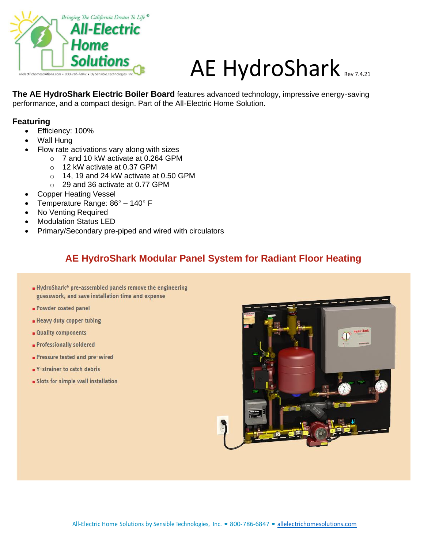

# AE HydroShark Rev 7.4.21

**The AE HydroShark Electric Boiler Board** features advanced technology, impressive energy-saving performance, and a compact design. Part of the All-Electric Home Solution.

#### **Featuring**

- Efficiency: 100%
- Wall Hung
- Flow rate activations vary along with sizes
	- o 7 and 10 kW activate at 0.264 GPM
	- o 12 kW activate at 0.37 GPM
	- o 14, 19 and 24 kW activate at 0.50 GPM
	- o 29 and 36 activate at 0.77 GPM
- Copper Heating Vessel
- Temperature Range: 86° 140° F
- No Venting Required
- Modulation Status LED
- Primary/Secondary pre-piped and wired with circulators

### **AE HydroShark Modular Panel System for Radiant Floor Heating**

- HydroShark® pre-assembled panels remove the engineering guesswork, and save installation time and expense
- Powder coated panel
- Heavy duty copper tubing
- Quality components
- **Professionally soldered**
- Pressure tested and pre-wired
- V-strainer to catch debris
- · Slots for simple wall installation